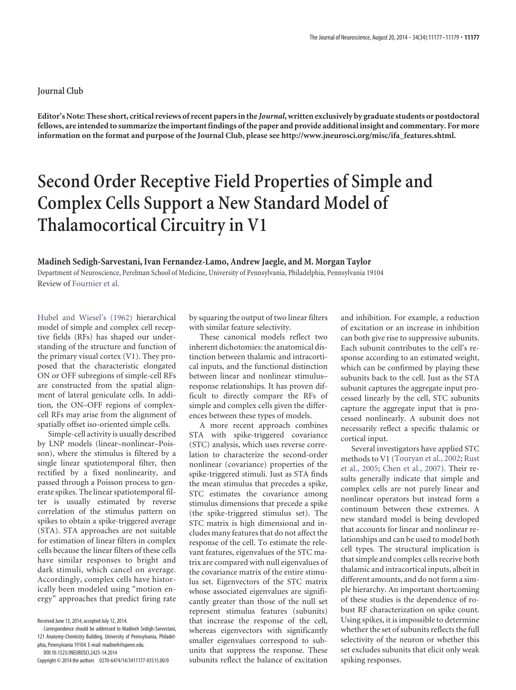## **Journal Club**

**Editor's Note: These short, critical reviews of recent papers in the** *Journal***, written exclusively by graduate students or postdoctoral fellows, are intended to summarize the important findings of the paper and provide additional insight and commentary. For more information on the format and purpose of the Journal Club, please see [http://www.jneurosci.org/misc/ifa\\_features.shtml.](http://www.jneurosci.org/misc/ifa_features.shtml)**

## **Second Order Receptive Field Properties of Simple and Complex Cells Support a New Standard Model of Thalamocortical Circuitry in V1**

**Madineh Sedigh-Sarvestani, Ivan Fernandez-Lamo, Andrew Jaegle, and M. Morgan Taylor**

Department of Neuroscience, Perelman School of Medicine, University of Pennsylvania, Philadelphia, Pennsylvania 19104 Review of [Fournier et al.](http://www.jneurosci.org/content/34/16/5515.full)

[Hubel and Wiesel's \(1962\)](#page-2-0) hierarchical model of simple and complex cell receptive fields (RFs) has shaped our understanding of the structure and function of the primary visual cortex (V1). They proposed that the characteristic elongated ON or OFF subregions of simple-cell RFs are constructed from the spatial alignment of lateral geniculate cells. In addition, the ON–OFF regions of complexcell RFs may arise from the alignment of spatially offset iso-oriented simple cells.

Simple-cell activity is usually described by LNP models (linear–nonlinear–Poisson), where the stimulus is filtered by a single linear spatiotemporal filter, then rectified by a fixed nonlinearity, and passed through a Poisson process to generate spikes. The linear spatiotemporal filter is usually estimated by reverse correlation of the stimulus pattern on spikes to obtain a spike-triggered average (STA). STA approaches are not suitable for estimation of linear filters in complex cells because the linear filters of these cells have similar responses to bright and dark stimuli, which cancel on average. Accordingly, complex cells have historically been modeled using "motion energy" approaches that predict firing rate

Received June 13, 2014; accepted July 12, 2014.

by squaring the output of two linear filters with similar feature selectivity.

These canonical models reflect two inherent dichotomies: the anatomical distinction between thalamic and intracortical inputs, and the functional distinction between linear and nonlinear stimulus– response relationships. It has proven difficult to directly compare the RFs of simple and complex cells given the differences between these types of models.

A more recent approach combines STA with spike-triggered covariance (STC) analysis, which uses reverse correlation to characterize the second-order nonlinear (covariance) properties of the spike-triggered stimuli. Just as STA finds the mean stimulus that precedes a spike, STC estimates the covariance among stimulus dimensions that precede a spike (the spike-triggered stimulus set). The STC matrix is high dimensional and includes many features that do not affect the response of the cell. To estimate the relevant features, eigenvalues of the STC matrix are compared with null eigenvalues of the covariance matrix of the entire stimulus set. Eigenvectors of the STC matrix whose associated eigenvalues are significantly greater than those of the null set represent stimulus features (subunits) that increase the response of the cell, whereas eigenvectors with significantly smaller eigenvalues correspond to subunits that suppress the response. These subunits reflect the balance of excitation and inhibition. For example, a reduction of excitation or an increase in inhibition can both give rise to suppressive subunits. Each subunit contributes to the cell's response according to an estimated weight, which can be confirmed by playing these subunits back to the cell. Just as the STA subunit captures the aggregate input processed linearly by the cell, STC subunits capture the aggregate input that is processed nonlinearly. A subunit does not necessarily reflect a specific thalamic or cortical input.

Several investigators have applied STC methods to V1 [\(Touryan et al., 2002;](#page-2-1) [Rust](#page-2-2) [et al., 2005;](#page-2-2) [Chen et al., 2007\)](#page-2-3). Their results generally indicate that simple and complex cells are not purely linear and nonlinear operators but instead form a continuum between these extremes. A new standard model is being developed that accounts for linear and nonlinear relationships and can be used to model both cell types. The structural implication is that simple and complex cells receive both thalamic and intracortical inputs, albeit in different amounts, and do not form a simple hierarchy. An important shortcoming of these studies is the dependence of robust RF characterization on spike count. Using spikes, it is impossible to determine whether the set of subunits reflects the full selectivity of the neuron or whether this set excludes subunits that elicit only weak spiking responses.

Correspondence should be addressed to Madineh Sedigh-Sarvestani, 121 Anatomy-Chemistry Building, University of Pennsylvania, Philadel-

phia, Pennsylvania 19104. E-mail: madineh@upenn.edu. DOI:10.1523/JNEUROSCI.2425-14.2014

Copyright © 2014 the authors 0270-6474/14/3411177-03\$15.00/0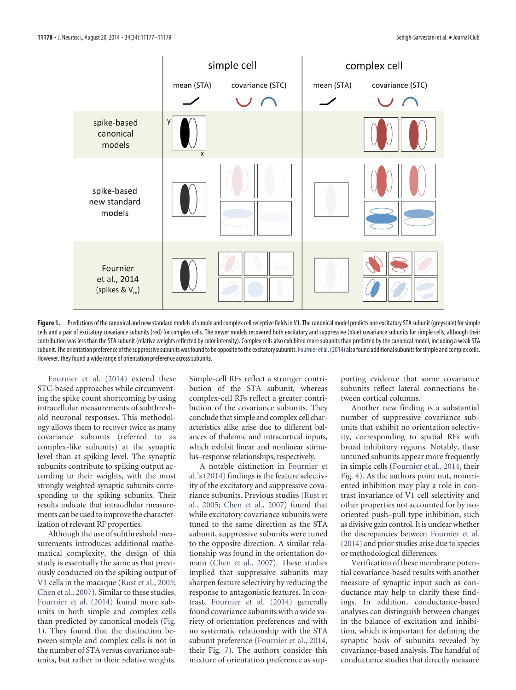

<span id="page-1-0"></span>Figure 1. Predictions of the canonical and new standard models of simple and complex cell receptive fields in V1. The canonical model predicts one excitatory STA subunit (greyscale) for simple cells and a pair of excitatory covariance subunits (red) for complex cells. The newer models recovered both excitatory and suppressive (blue) covariance subunits for simple cells, although their contribution was less than the STA subunit (relative weights reflected by color intensity). Complex cells also exhibited more subunits than predicted by the canonical model, including a weak STA subunit. The orientation preference of the suppressive subunits was found to be opposite to the excitatory subunits. Fournier et al. (2014) also found additional subunits for simple and complex cells. However, they found a wide range of orientation preference across subunits.

[Fournier et al. \(2014\)](#page-2-4) extend these STC-based approaches while circumventing the spike count shortcoming by using intracellular measurements of subthreshold neuronal responses. This methodology allows them to recover twice as many covariance subunits (referred to as complex-like subunits) at the synaptic level than at spiking level. The synaptic subunits contribute to spiking output according to their weights, with the most strongly weighted synaptic subunits corresponding to the spiking subunits. Their results indicate that intracellular measurements can be used to improve the characterization of relevant RF properties.

Although the use of subthreshold measurements introduces additional mathematical complexity, the design of this study is essentially the same as that previously conducted on the spiking output of V1 cells in the macaque [\(Rust et al., 2005;](#page-2-2) [Chen et al., 2007\)](#page-2-3). Similar to these studies, [Fournier et al. \(2014\)](#page-2-4) found more subunits in both simple and complex cells than predicted by canonical models [\(Fig.](#page-1-0) [1\)](#page-1-0). They found that the distinction between simple and complex cells is not in the number of STA versus covariance subunits, but rather in their relative weights.

Simple-cell RFs reflect a stronger contribution of the STA subunit, whereas complex-cell RFs reflect a greater contribution of the covariance subunits. They conclude that simple and complex cell characteristics alike arise due to different balances of thalamic and intracortical inputs, which exhibit linear and nonlinear stimulus–response relationships, respectively.

A notable distinction in [Fournier et](#page-2-4) [al.'s \(2014\)](#page-2-4) findings is the feature selectivity of the excitatory and suppressive covariance subunits. Previous studies [\(Rust et](#page-2-2) [al., 2005;](#page-2-2) [Chen et al., 2007\)](#page-2-3) found that while excitatory covariance subunits were tuned to the same direction as the STA subunit, suppressive subunits were tuned to the opposite direction. A similar relationship was found in the orientation domain [\(Chen et al., 2007\)](#page-2-3). These studies implied that suppressive subunits may sharpen feature selectivity by reducing the response to antagonistic features. In contrast, [Fournier et al. \(2014\)](#page-2-4) generally found covariance subunits with a wide variety of orientation preferences and with no systematic relationship with the STA subunit preference [\(Fournier et al., 2014,](#page-2-4) their Fig. 7). The authors consider this mixture of orientation preference as supporting evidence that some covariance subunits reflect lateral connections between cortical columns.

Another new finding is a substantial number of suppressive covariance subunits that exhibit no orientation selectivity, corresponding to spatial RFs with broad inhibitory regions. Notably, these untuned subunits appear more frequently in simple cells [\(Fournier et al., 2014,](#page-2-4) their Fig. 4). As the authors point out, nonoriented inhibition may play a role in contrast invariance of V1 cell selectivity and other properties not accounted for by isooriented push–pull type inhibition, such as divisive gain control. It is unclear whether the discrepancies between [Fournier et al.](#page-2-4) [\(2014\)](#page-2-4) and prior studies arise due to species or methodological differences.

Verification of these membrane potential covariance-based results with another measure of synaptic input such as conductance may help to clarify these findings. In addition, conductance-based analyses can distinguish between changes in the balance of excitation and inhibition, which is important for defining the synaptic basis of subunits revealed by covariance-based analysis. The handful of conductance studies that directly measure